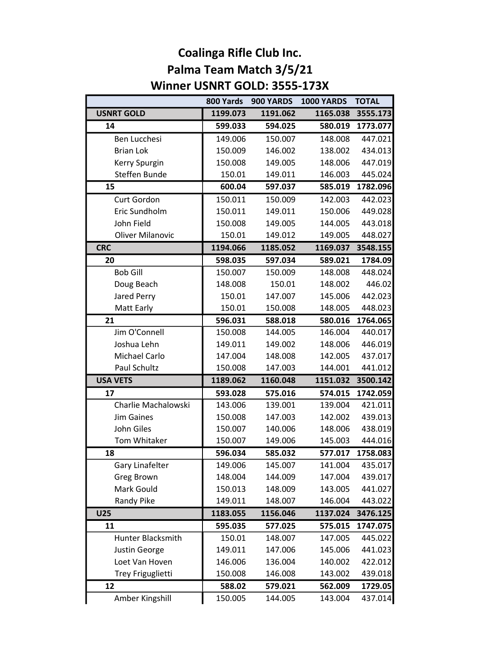## Coalinga Rifle Club Inc. Palma Team Match 3/5/21 Winner USNRT GOLD: 3555-173X

|                         | 800 Yards | 900 YARDS | <b>1000 YARDS</b> | <b>TOTAL</b> |
|-------------------------|-----------|-----------|-------------------|--------------|
| <b>USNRT GOLD</b>       | 1199.073  | 1191.062  | 1165.038          | 3555.173     |
| 14                      | 599.033   | 594.025   | 580.019           | 1773.077     |
| Ben Lucchesi            | 149.006   | 150.007   | 148.008           | 447.021      |
| <b>Brian Lok</b>        | 150.009   | 146.002   | 138.002           | 434.013      |
| Kerry Spurgin           | 150.008   | 149.005   | 148.006           | 447.019      |
| Steffen Bunde           | 150.01    | 149.011   | 146.003           | 445.024      |
| 15                      | 600.04    | 597.037   | 585.019           | 1782.096     |
| Curt Gordon             | 150.011   | 150.009   | 142.003           | 442.023      |
| Eric Sundholm           | 150.011   | 149.011   | 150.006           | 449.028      |
| John Field              | 150.008   | 149.005   | 144.005           | 443.018      |
| <b>Oliver Milanovic</b> | 150.01    | 149.012   | 149.005           | 448.027      |
| <b>CRC</b>              | 1194.066  | 1185.052  | 1169.037          | 3548.155     |
| 20                      | 598.035   | 597.034   | 589.021           | 1784.09      |
| <b>Bob Gill</b>         | 150.007   | 150.009   | 148.008           | 448.024      |
| Doug Beach              | 148.008   | 150.01    | 148.002           | 446.02       |
| Jared Perry             | 150.01    | 147.007   | 145.006           | 442.023      |
| Matt Early              | 150.01    | 150.008   | 148.005           | 448.023      |
| 21                      | 596.031   | 588.018   | 580.016           | 1764.065     |
| Jim O'Connell           | 150.008   | 144.005   | 146.004           | 440.017      |
| Joshua Lehn             | 149.011   | 149.002   | 148.006           | 446.019      |
| Michael Carlo           | 147.004   | 148.008   | 142.005           | 437.017      |
| Paul Schultz            | 150.008   | 147.003   | 144.001           | 441.012      |
| <b>USA VETS</b>         | 1189.062  | 1160.048  | 1151.032          | 3500.142     |
| 17                      | 593.028   | 575.016   | 574.015           | 1742.059     |
| Charlie Machalowski     | 143.006   | 139.001   | 139.004           | 421.011      |
| <b>Jim Gaines</b>       | 150.008   | 147.003   | 142.002           | 439.013      |
| John Giles              | 150.007   | 140.006   | 148.006           | 438.019      |
| Tom Whitaker            | 150.007   | 149.006   | 145.003           | 444.016      |
| 18                      | 596.034   | 585.032   | 577.017           | 1758.083     |
| Gary Linafelter         | 149.006   | 145.007   | 141.004           | 435.017      |
| Greg Brown              | 148.004   | 144.009   | 147.004           | 439.017      |
| Mark Gould              | 150.013   | 148.009   | 143.005           | 441.027      |
| Randy Pike              | 149.011   | 148.007   | 146.004           | 443.022      |
| <b>U25</b>              | 1183.055  | 1156.046  | 1137.024          | 3476.125     |
| 11                      | 595.035   | 577.025   | 575.015           | 1747.075     |
| Hunter Blacksmith       | 150.01    | 148.007   | 147.005           | 445.022      |
| Justin George           | 149.011   | 147.006   | 145.006           | 441.023      |
| Loet Van Hoven          | 146.006   | 136.004   | 140.002           | 422.012      |
| Trey Friguglietti       | 150.008   | 146.008   | 143.002           | 439.018      |
| 12                      | 588.02    | 579.021   | 562.009           | 1729.05      |
| Amber Kingshill         | 150.005   | 144.005   | 143.004           | 437.014      |